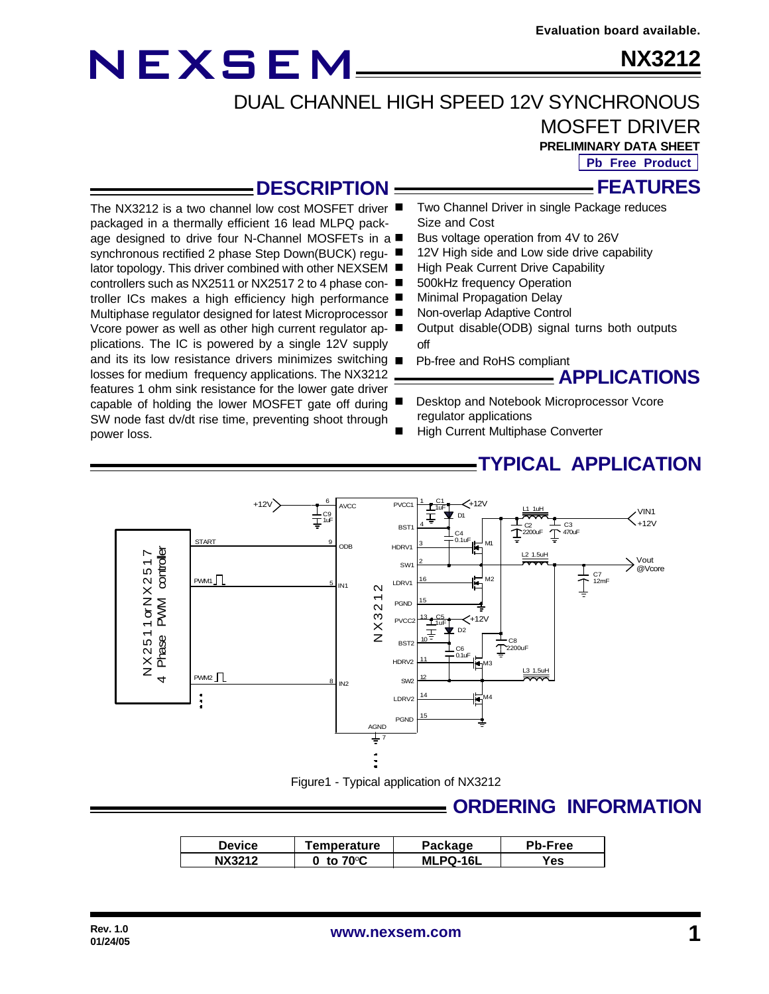# NEXSEM

**NX3212**

DUAL CHANNEL HIGH SPEED 12V SYNCHRONOUS

### MOSFET DRIVER

**PRELIMINARY DATA SHEET**

**FEATURES Pb Free Product**

#### **DESCRIPTION**

The NX3212 is a two channel low cost MOSFET driver ■ packaged in a thermally efficient 16 lead MLPQ package designed to drive four N-Channel MOSFETs in a synchronous rectified 2 phase Step Down(BUCK) regulator topology. This driver combined with other NEXSEM controllers such as NX2511 or NX2517 2 to 4 phase controller ICs makes a high efficiency high performance ■ Multiphase regulator designed for latest Microprocessor ■ Vcore power as well as other high current regulator applications. The IC is powered by a single 12V supply and its its low resistance drivers minimizes switching  $\blacksquare$ losses for medium frequency applications. The NX3212 features 1 ohm sink resistance for the lower gate driver capable of holding the lower MOSFET gate off during SW node fast dv/dt rise time, preventing shoot through power loss.

- Two Channel Driver in single Package reduces Size and Cost
- Bus voltage operation from 4V to 26V
- 12V High side and Low side drive capability
- High Peak Current Drive Capability
- 500kHz frequency Operation
- **Minimal Propagation Delay**
- Non-overlap Adaptive Control
- Output disable(ODB) signal turns both outputs off
- Pb-free and RoHS compliant



- Desktop and Notebook Microprocessor Vcore regulator applications
- High Current Multiphase Converter

#### **TYPICAL APPLICATION**



Figure1 - Typical application of NX3212

#### **ORDERING INFORMATION**

| <b>Device</b> | Temperature       | Package         | <b>Pb-Free</b> |
|---------------|-------------------|-----------------|----------------|
| NX3212        | to $70^{\circ}$ C | <b>MLPQ-16L</b> | Yes            |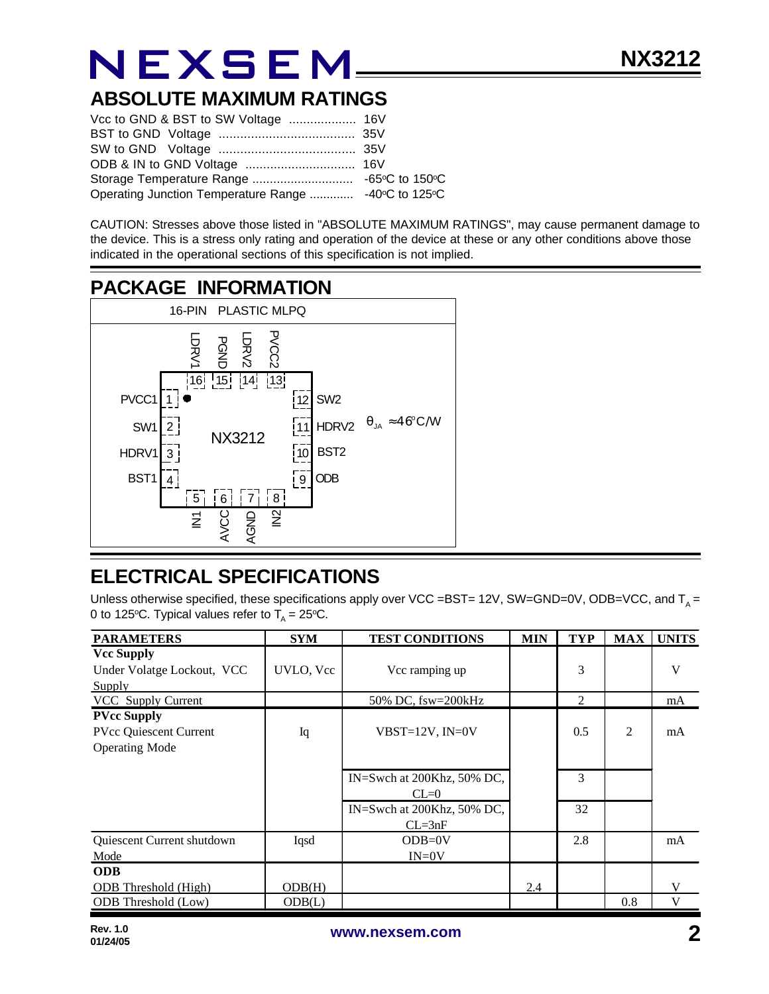# **NEXSEM**

#### **ABSOLUTE MAXIMUM RATINGS**

| Operating Junction Temperature Range  -40°C to 125°C |  |
|------------------------------------------------------|--|

CAUTION: Stresses above those listed in "ABSOLUTE MAXIMUM RATINGS", may cause permanent damage to the device. This is a stress only rating and operation of the device at these or any other conditions above those indicated in the operational sections of this specification is not implied.

### **PACKAGE INFORMATION**



#### **ELECTRICAL SPECIFICATIONS**

Unless otherwise specified, these specifications apply over VCC =BST= 12V, SW=GND=0V, ODB=VCC, and T<sub>A</sub> = 0 to 125°C. Typical values refer to  $T_A = 25$ °C.

| <b>PARAMETERS</b>                               | <b>SYM</b> | <b>TEST CONDITIONS</b>     | <b>MIN</b> | <b>TYP</b> | <b>MAX</b> | <b>UNITS</b> |
|-------------------------------------------------|------------|----------------------------|------------|------------|------------|--------------|
| <b>Vcc Supply</b><br>Under Volatge Lockout, VCC | UVLO, Vcc  | Vcc ramping up             |            | 3          |            | V            |
| Supply                                          |            |                            |            |            |            |              |
| <b>VCC</b> Supply Current                       |            | 50% DC, fsw=200kHz         |            | 2          |            | mA           |
| <b>PVcc Supply</b>                              |            |                            |            |            |            |              |
| <b>PVcc Quiescent Current</b>                   | Iq         | $VBST=12V$ , $IN=0V$       |            | 0.5        | 2          | mA           |
| <b>Operating Mode</b>                           |            |                            |            |            |            |              |
|                                                 |            |                            |            |            |            |              |
|                                                 |            | IN=Swch at 200Khz, 50% DC, |            | 3          |            |              |
|                                                 |            | $CL=0$                     |            |            |            |              |
|                                                 |            | IN=Swch at 200Khz, 50% DC, |            | 32         |            |              |
|                                                 |            | $CL = 3nF$                 |            |            |            |              |
| Quiescent Current shutdown                      | Iqsd       | $ODB=0V$                   |            | 2.8        |            | mA           |
| Mode                                            |            | $IN = 0V$                  |            |            |            |              |
| <b>ODB</b>                                      |            |                            |            |            |            |              |
| <b>ODB</b> Threshold (High)                     | ODB(H)     |                            | 2.4        |            |            | V            |
| ODB Threshold (Low)                             | ODB(L)     |                            |            |            | 0.8        | V            |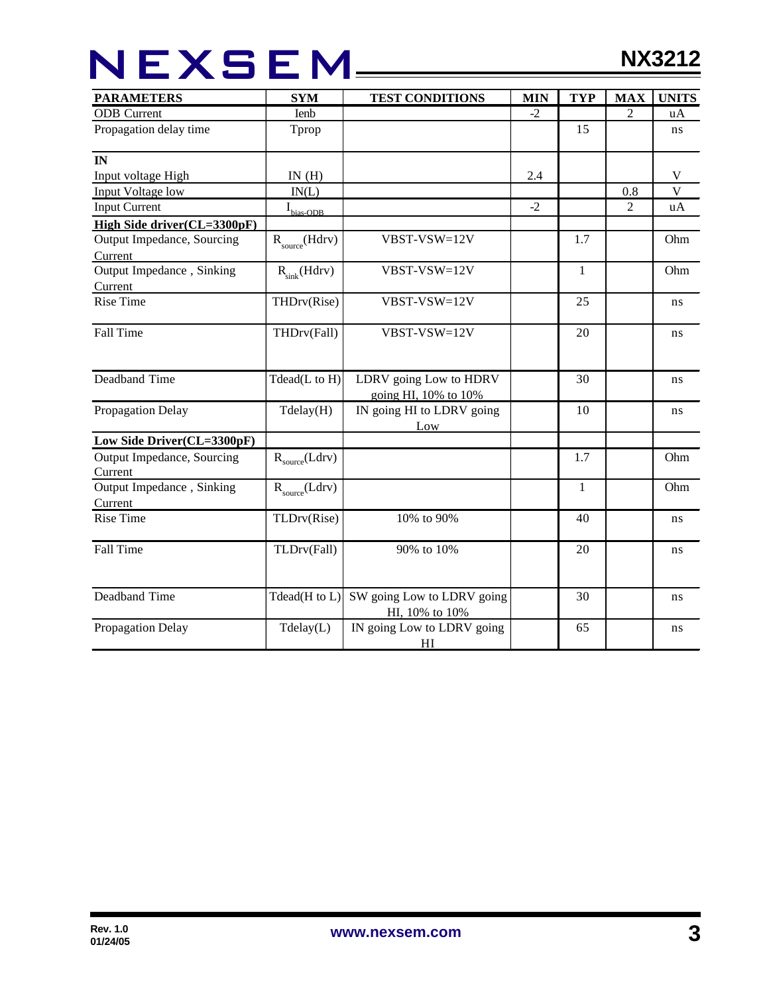# NEXSEM\_\_\_\_\_

| <b>PARAMETERS</b>                     | <b>SYM</b>                     | <b>TEST CONDITIONS</b>                                   | <b>MIN</b> | <b>TYP</b> | <b>MAX</b>     | <b>UNITS</b>              |
|---------------------------------------|--------------------------------|----------------------------------------------------------|------------|------------|----------------|---------------------------|
| <b>ODB</b> Current                    | Ienb                           |                                                          | $-2$       |            | 2              | uA                        |
| Propagation delay time                | Tprop                          |                                                          |            | 15         |                | ns                        |
| $\mathbf{I}$ N                        |                                |                                                          |            |            |                |                           |
| Input voltage High                    | IN(H)                          |                                                          | 2.4        |            |                | $\boldsymbol{\mathrm{V}}$ |
| <b>Input Voltage low</b>              | IN(L)                          |                                                          |            |            | 0.8            | $\overline{\mathbf{V}}$   |
| <b>Input Current</b>                  | $\mathbf{I}_{\text{bias-ODB}}$ |                                                          | $-2$       |            | $\overline{c}$ | uA                        |
| High Side driver(CL=3300pF)           |                                |                                                          |            |            |                |                           |
| Output Impedance, Sourcing<br>Current | $R_{\text{source}}(Hdrv)$      | VBST-VSW=12V                                             |            | 1.7        |                | Ohm                       |
| Output Impedance, Sinking             | $R_{\text{sink}}(Hdrv)$        | $VBST-VSW=12V$                                           |            | 1          |                | Ohm                       |
| Current                               |                                |                                                          |            |            |                |                           |
| <b>Rise Time</b>                      | THDrv(Rise)                    | VBST-VSW=12V                                             |            | 25         |                | ns                        |
| Fall Time                             | THDrv(Fall)                    | VBST-VSW=12V                                             |            | 20         |                | ns                        |
| Deadband Time                         | Tdead(L to $H$ )               | LDRV going Low to HDRV                                   |            | 30         |                | ns                        |
| Propagation Delay                     | Tdelay(H)                      | going HI, 10% to 10%<br>IN going HI to LDRV going<br>Low |            | 10         |                | ns                        |
| Low Side Driver(CL=3300pF)            |                                |                                                          |            |            |                |                           |
| Output Impedance, Sourcing<br>Current | $R_{source}(Ldrv)$             |                                                          |            | 1.7        |                | Ohm                       |
| Output Impedance, Sinking<br>Current  | $R_{source}(Ldrv)$             |                                                          |            | 1          |                | Ohm                       |
| <b>Rise Time</b>                      | TLDrv(Rise)                    | 10% to 90%                                               |            | 40         |                | ns                        |
| Fall Time                             | TLDrv(Fall)                    | 90% to 10%                                               |            | 20         |                | ns                        |
| Deadband Time                         | Tdead(H to L)                  | SW going Low to LDRV going<br>HI, 10% to 10%             |            | 30         |                | ns                        |
| Propagation Delay                     | Tdelay(L)                      | IN going Low to LDRV going<br>HI                         |            | 65         |                | ns                        |